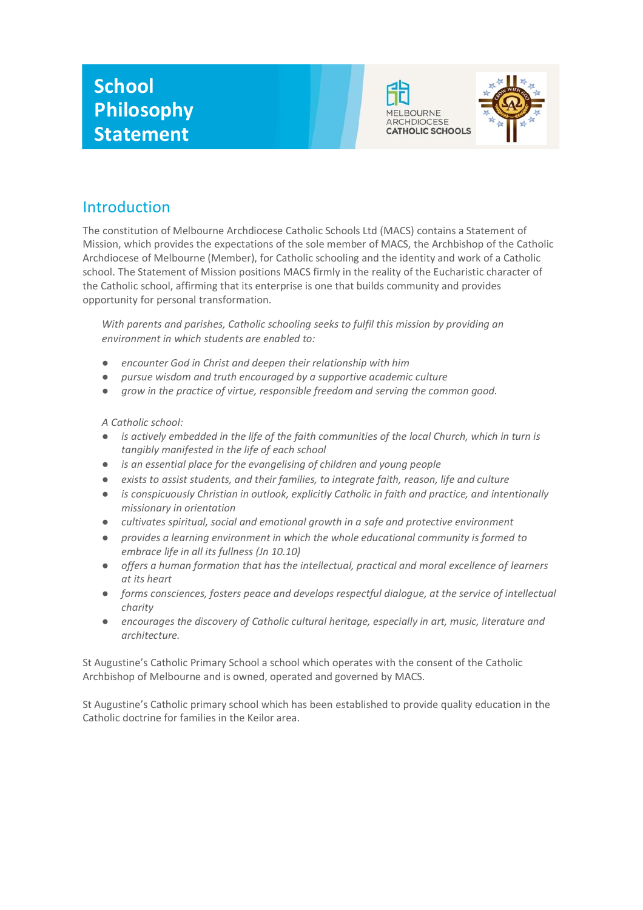



# Introduction

The constitution of Melbourne Archdiocese Catholic Schools Ltd (MACS) contains a Statement of Mission, which provides the expectations of the sole member of MACS, the Archbishop of the Catholic Archdiocese of Melbourne (Member), for Catholic schooling and the identity and work of a Catholic school. The Statement of Mission positions MACS firmly in the reality of the Eucharistic character of the Catholic school, affirming that its enterprise is one that builds community and provides opportunity for personal transformation.

*With parents and parishes, Catholic schooling seeks to fulfil this mission by providing an environment in which students are enabled to:*

- encounter God in Christ and deepen their relationship with him
- *pursue wisdom and truth encouraged by a supportive academic culture*
- grow in the practice of virtue, responsible freedom and serving the common good.

#### *A Catholic school:*

- *is actively embedded in the life of the faith communities of the local Church, which in turn is tangibly manifested in the life of each school*
- *is an essential place for the evangelising of children and young people*
- *exists to assist students, and their families, to integrate faith, reason, life and culture*
- is conspicuously Christian in outlook, explicitly Catholic in faith and practice, and intentionally *missionary in orientation*
- *cultivates spiritual, social and emotional growth in a safe and protective environment*
- *provides a learning environment in which the whole educational community is formed to embrace life in all its fullness (Jn 10.10)*
- *offers a human formation that has the intellectual, practical and moral excellence of learners at its heart*
- *forms consciences, fosters peace and develops respectful dialogue, at the service of intellectual charity*
- encourages the discovery of Catholic cultural heritage, especially in art, music, literature and *architecture.*

St Augustine's Catholic Primary School a school which operates with the consent of the Catholic Archbishop of Melbourne and is owned, operated and governed by MACS.

St Augustine's Catholic primary school which has been established to provide quality education in the Catholic doctrine for families in the Keilor area.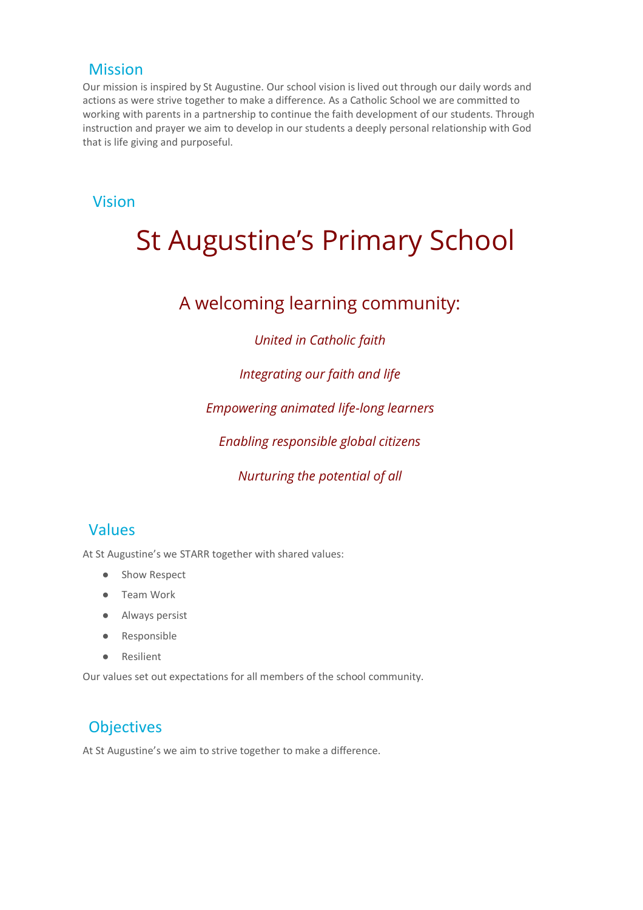#### **Mission**

Our mission is inspired by St Augustine. Our school vision is lived out through our daily words and actions as were strive together to make a difference. As a Catholic School we are committed to working with parents in a partnership to continue the faith development of our students. Through instruction and prayer we aim to develop in our students a deeply personal relationship with God that is life giving and purposeful.

#### Vision

# St Augustine's Primary School

# A welcoming learning community:

#### *United in Catholic faith*

#### *Integrating our faith and life*

#### *Empowering animated life-long learners*

#### *Enabling responsible global citizens*

#### *Nurturing the potential of all*

### Values

At St Augustine's we STARR together with shared values:

- Show Respect
- Team Work
- Always persist
- Responsible
- Resilient

Our values set out expectations for all members of the school community.

# **Objectives**

At St Augustine's we aim to strive together to make a difference.